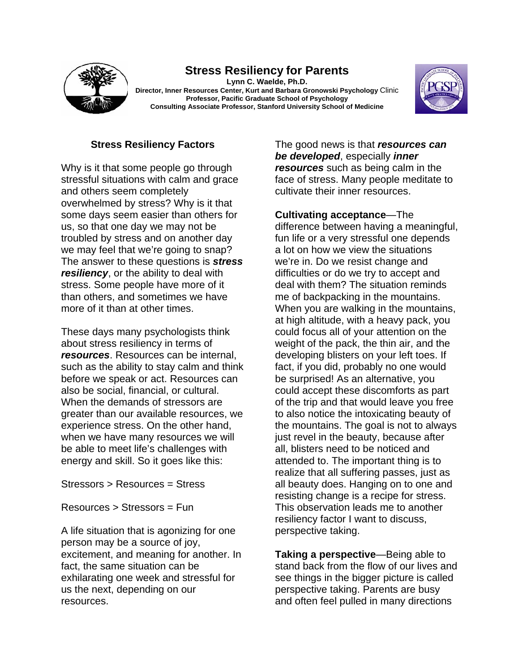

## **Stress Resiliency for Parents**

**Lynn C. Waelde, Ph.D. Director, Inner Resources Center, Kurt and Barbara Gronowski Psychology** Clinic **Professor, Pacific Graduate School of Psychology Consulting Associate Professor, Stanford University School of Medicine** 



## **Stress Resiliency Factors**

Why is it that some people go through stressful situations with calm and grace and others seem completely overwhelmed by stress? Why is it that some days seem easier than others for us, so that one day we may not be troubled by stress and on another day we may feel that we're going to snap? The answer to these questions is *stress resiliency*, or the ability to deal with stress. Some people have more of it than others, and sometimes we have more of it than at other times.

These days many psychologists think about stress resiliency in terms of *resources*. Resources can be internal, such as the ability to stay calm and think before we speak or act. Resources can also be social, financial, or cultural. When the demands of stressors are greater than our available resources, we experience stress. On the other hand, when we have many resources we will be able to meet life's challenges with energy and skill. So it goes like this:

Stressors > Resources = Stress

Resources > Stressors = Fun

A life situation that is agonizing for one person may be a source of joy, excitement, and meaning for another. In fact, the same situation can be exhilarating one week and stressful for us the next, depending on our resources.

The good news is that *resources can be developed*, especially *inner resources* such as being calm in the face of stress. Many people meditate to cultivate their inner resources.

**Cultivating acceptance**—The difference between having a meaningful, fun life or a very stressful one depends a lot on how we view the situations we're in. Do we resist change and difficulties or do we try to accept and deal with them? The situation reminds me of backpacking in the mountains. When you are walking in the mountains, at high altitude, with a heavy pack, you could focus all of your attention on the weight of the pack, the thin air, and the developing blisters on your left toes. If fact, if you did, probably no one would be surprised! As an alternative, you could accept these discomforts as part of the trip and that would leave you free to also notice the intoxicating beauty of the mountains. The goal is not to always just revel in the beauty, because after all, blisters need to be noticed and attended to. The important thing is to realize that all suffering passes, just as all beauty does. Hanging on to one and resisting change is a recipe for stress. This observation leads me to another resiliency factor I want to discuss, perspective taking.

**Taking a perspective**—Being able to stand back from the flow of our lives and see things in the bigger picture is called perspective taking. Parents are busy and often feel pulled in many directions